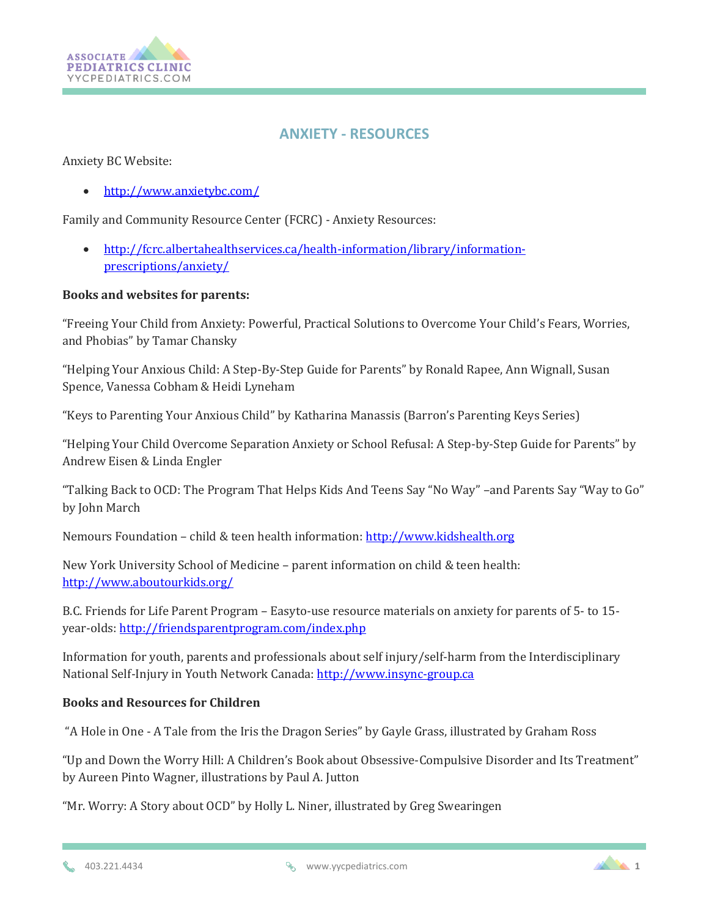

## **ANXIETY - RESOURCES**

Anxiety BC Website:

<http://www.anxietybc.com/>

Family and Community Resource Center (FCRC) - Anxiety Resources:

 [http://fcrc.albertahealthservices.ca/health-information/library/information](http://fcrc.albertahealthservices.ca/health-information/library/information-prescriptions/anxiety/)[prescriptions/anxiety/](http://fcrc.albertahealthservices.ca/health-information/library/information-prescriptions/anxiety/)

## **Books and websites for parents:**

"Freeing Your Child from Anxiety: Powerful, Practical Solutions to Overcome Your Child's Fears, Worries, and Phobias" by Tamar Chansky

"Helping Your Anxious Child: A Step-By-Step Guide for Parents" by Ronald Rapee, Ann Wignall, Susan Spence, Vanessa Cobham & Heidi Lyneham

"Keys to Parenting Your Anxious Child" by Katharina Manassis (Barron's Parenting Keys Series)

"Helping Your Child Overcome Separation Anxiety or School Refusal: A Step-by-Step Guide for Parents" by Andrew Eisen & Linda Engler

"Talking Back to OCD: The Program That Helps Kids And Teens Say "No Way" –and Parents Say "Way to Go" by John March

Nemours Foundation – child & teen health information: [http://www.kidshealth.org](http://www.kidshealth.org/)

New York University School of Medicine – parent information on child & teen health: <http://www.aboutourkids.org/>

B.C. Friends for Life Parent Program – Easyto-use resource materials on anxiety for parents of 5- to 15 year-olds[: http://friendsparentprogram.com/index.php](http://friendsparentprogram.com/index.php)

Information for youth, parents and professionals about self injury/self-harm from the Interdisciplinary National Self-Injury in Youth Network Canada: [http://www.insync-group.ca](http://www.insync-group.ca/)

## **Books and Resources for Children**

"A Hole in One - A Tale from the Iris the Dragon Series" by Gayle Grass, illustrated by Graham Ross

"Up and Down the Worry Hill: A Children's Book about Obsessive-Compulsive Disorder and Its Treatment" by Aureen Pinto Wagner, illustrations by Paul A. Jutton

"Mr. Worry: A Story about OCD" by Holly L. Niner, illustrated by Greg Swearingen